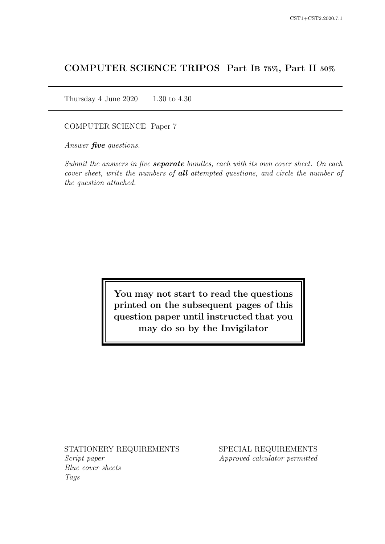# COMPUTER SCIENCE TRIPOS Part IB 75%, Part II 50%

Thursday 4 June 2020 1.30 to 4.30

COMPUTER SCIENCE Paper 7

Answer **five** questions.

Submit the answers in five **separate** bundles, each with its own cover sheet. On each cover sheet, write the numbers of **all** attempted questions, and circle the number of the question attached.

> You may not start to read the questions printed on the subsequent pages of this question paper until instructed that you may do so by the Invigilator

STATIONERY REQUIREMENTS Script paper Blue cover sheets

Tags

SPECIAL REQUIREMENTS Approved calculator permitted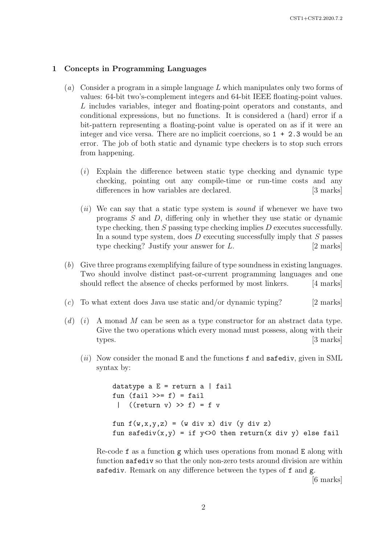#### 1 Concepts in Programming Languages

- (a) Consider a program in a simple language L which manipulates only two forms of values: 64-bit two's-complement integers and 64-bit IEEE floating-point values. L includes variables, integer and floating-point operators and constants, and conditional expressions, but no functions. It is considered a (hard) error if a bit-pattern representing a floating-point value is operated on as if it were an integer and vice versa. There are no implicit coercions, so 1 + 2.3 would be an error. The job of both static and dynamic type checkers is to stop such errors from happening.
	- (i) Explain the difference between static type checking and dynamic type checking, pointing out any compile-time or run-time costs and any differences in how variables are declared. [3 marks]
	- $(ii)$  We can say that a static type system is sound if whenever we have two programs S and D, differing only in whether they use static or dynamic type checking, then  $S$  passing type checking implies  $D$  executes successfully. In a sound type system, does  $D$  executing successfully imply that  $S$  passes type checking? Justify your answer for  $L$ . [2 marks]
- (b) Give three programs exemplifying failure of type soundness in existing languages. Two should involve distinct past-or-current programming languages and one should reflect the absence of checks performed by most linkers. [4 marks]
- (c) To what extent does Java use static and/or dynamic typing? [2 marks]
- $(d)$  (i) A monad M can be seen as a type constructor for an abstract data type. Give the two operations which every monad must possess, along with their types. [3 marks]
	- $(ii)$  Now consider the monad E and the functions f and safediv, given in SML syntax by:

```
datatype a E = return a | fail
fun (fail \gg=f) = fail| ((return v) >> f) = f vfun f(w,x,y,z) = (w \div x) \div (y \div z)fun safediv(x,y) = if y<>0 then return(x div y) else fail
```
Re-code f as a function g which uses operations from monad E along with function safediv so that the only non-zero tests around division are within safediv. Remark on any difference between the types of f and g.

[6 marks]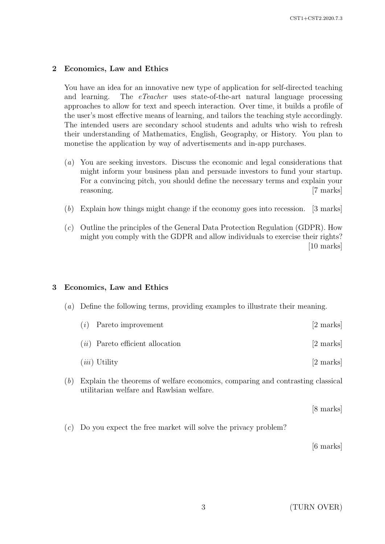## 2 Economics, Law and Ethics

You have an idea for an innovative new type of application for self-directed teaching and learning. The  $eTeacher$  uses state-of-the-art natural language processing approaches to allow for text and speech interaction. Over time, it builds a profile of the user's most effective means of learning, and tailors the teaching style accordingly. The intended users are secondary school students and adults who wish to refresh their understanding of Mathematics, English, Geography, or History. You plan to monetise the application by way of advertisements and in-app purchases.

- (a) You are seeking investors. Discuss the economic and legal considerations that might inform your business plan and persuade investors to fund your startup. For a convincing pitch, you should define the necessary terms and explain your reasoning. [7 marks]
- (b) Explain how things might change if the economy goes into recession. [3 marks]
- (c) Outline the principles of the General Data Protection Regulation (GDPR). How might you comply with the GDPR and allow individuals to exercise their rights? [10 marks]

#### 3 Economics, Law and Ethics

(a) Define the following terms, providing examples to illustrate their meaning.

| $(i)$ Pareto improvement           | $[2 \text{ marks}]$ |
|------------------------------------|---------------------|
| $(ii)$ Pareto efficient allocation | [2 marks]           |
| $(iii)$ Utility                    | $[2 \text{ marks}]$ |

(b) Explain the theorems of welfare economics, comparing and contrasting classical utilitarian welfare and Rawlsian welfare.

[8 marks]

 $(c)$  Do you expect the free market will solve the privacy problem?

[6 marks]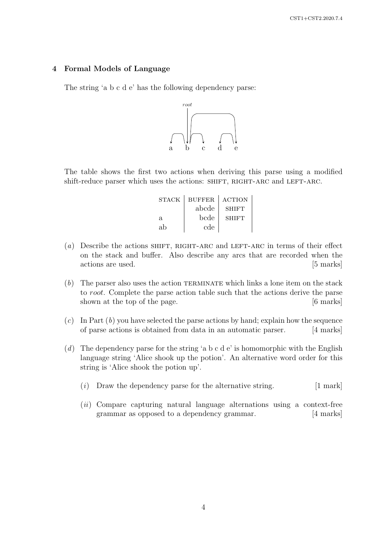# 4 Formal Models of Language

The string 'a b c d e' has the following dependency parse:



The table shows the first two actions when deriving this parse using a modified shift-reduce parser which uses the actions: SHIFT, RIGHT-ARC and LEFT-ARC.

| <b>STACK</b> | <b>BUFFER</b> | <b>ACTION</b> |  |
|--------------|---------------|---------------|--|
|              | abcde         | <b>SHIFT</b>  |  |
| a.           | bcde          | <b>SHIFT</b>  |  |
| аb           | cde           |               |  |

- (a) Describe the actions SHIFT, RIGHT-ARC and LEFT-ARC in terms of their effect on the stack and buffer. Also describe any arcs that are recorded when the actions are used. [5 marks]
- $(b)$  The parser also uses the action TERMINATE which links a lone item on the stack to root. Complete the parse action table such that the actions derive the parse shown at the top of the page. [6 marks]
- $(c)$  In Part  $(b)$  you have selected the parse actions by hand; explain how the sequence of parse actions is obtained from data in an automatic parser. [4 marks]
- $(d)$  The dependency parse for the string 'a b c d e' is homomorphic with the English language string 'Alice shook up the potion'. An alternative word order for this string is 'Alice shook the potion up'.
	- $(i)$  Draw the dependency parse for the alternative string. [1 mark]
	- (ii) Compare capturing natural language alternations using a context-free grammar as opposed to a dependency grammar. [4 marks]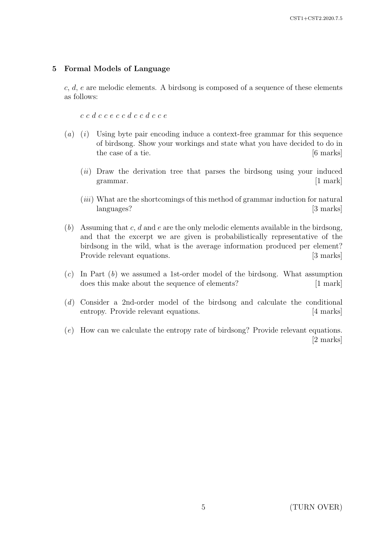## 5 Formal Models of Language

c, d, e are melodic elements. A birdsong is composed of a sequence of these elements as follows:

c c d c c e c c d c c d c c e

- $(a)$  (i) Using byte pair encoding induce a context-free grammar for this sequence of birdsong. Show your workings and state what you have decided to do in the case of a tie. [6 marks]
	- (*ii*) Draw the derivation tree that parses the birdsong using your induced grammar. [1 mark]
	- (iii) What are the shortcomings of this method of grammar induction for natural languages? [3 marks]
- $(b)$  Assuming that c, d and e are the only melodic elements available in the birdsong, and that the excerpt we are given is probabilistically representative of the birdsong in the wild, what is the average information produced per element? Provide relevant equations. [3 marks]
- $(c)$  In Part  $(b)$  we assumed a 1st-order model of the birdsong. What assumption does this make about the sequence of elements? [1 mark]
- (d) Consider a 2nd-order model of the birdsong and calculate the conditional entropy. Provide relevant equations. [4 marks]
- (e) How can we calculate the entropy rate of birdsong? Provide relevant equations. [2 marks]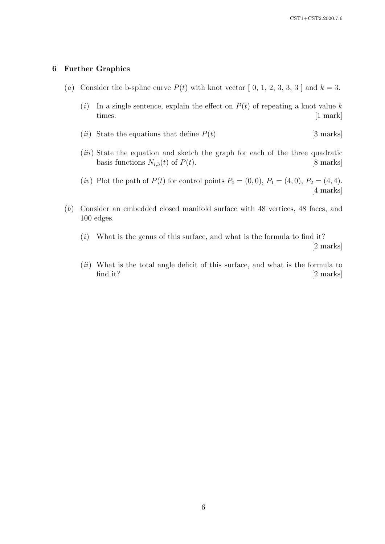#### 6 Further Graphics

- (a) Consider the b-spline curve  $P(t)$  with knot vector  $[0, 1, 2, 3, 3, 3]$  and  $k = 3$ .
	- (i) In a single sentence, explain the effect on  $P(t)$  of repeating a knot value k times. [1 mark]
	- (*ii*) State the equations that define  $P(t)$ . [3 marks]
	- (*iii*) State the equation and sketch the graph for each of the three quadratic basis functions  $N_{i,3}(t)$  of  $P(t)$ . [8 marks]
	- (*iv*) Plot the path of  $P(t)$  for control points  $P_0 = (0, 0), P_1 = (4, 0), P_2 = (4, 4).$ [4 marks]
- (b) Consider an embedded closed manifold surface with 48 vertices, 48 faces, and 100 edges.
	- $(i)$  What is the genus of this surface, and what is the formula to find it? [2 marks]
	- $(ii)$  What is the total angle deficit of this surface, and what is the formula to find it? [2 marks]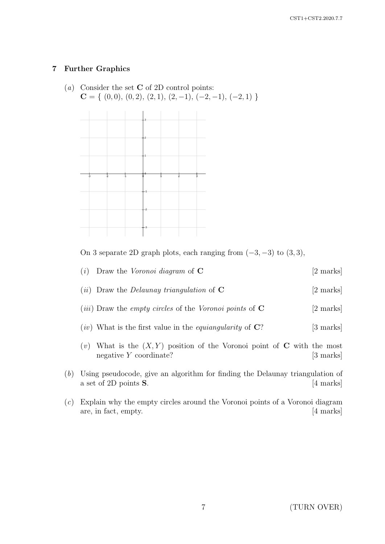# 7 Further Graphics

(*a*) Consider the set  $C$  of 2D control points:  $C = \{ (0, 0), (0, 2), (2, 1), (2, -1), (-2, -1), (-2, 1) \}$ 



On 3 separate 2D graph plots, each ranging from  $(-3, -3)$  to  $(3, 3)$ ,

- (i) Draw the Voronoi diagram of  $\bf{C}$  [2 marks]
- (*ii*) Draw the *Delaunay triangulation* of  $\mathbf C$  [2 marks]
- (*iii*) Draw the *empty circles* of the *Voronoi points* of  $\mathbf{C}$  [2 marks]
- (*iv*) What is the first value in the *equiangularity* of  $\mathbb{C}$ ? [3 marks]
- (v) What is the  $(X, Y)$  position of the Voronoi point of C with the most negative Y coordinate? [3 marks]
- (b) Using pseudocode, give an algorithm for finding the Delaunay triangulation of a set of 2D points **S**. [4 marks]
- (c) Explain why the empty circles around the Voronoi points of a Voronoi diagram are, in fact, empty. [4 marks]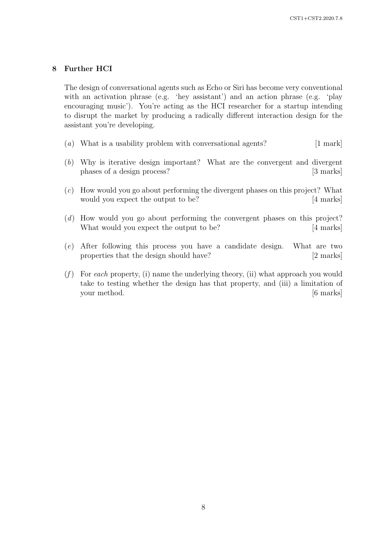## 8 Further HCI

The design of conversational agents such as Echo or Siri has become very conventional with an activation phrase (e.g. 'hey assistant') and an action phrase (e.g. 'play encouraging music'). You're acting as the HCI researcher for a startup intending to disrupt the market by producing a radically different interaction design for the assistant you're developing.

- (a) What is a usability problem with conversational agents?  $[1 \text{ mark}]$
- (b) Why is iterative design important? What are the convergent and divergent phases of a design process? [3 marks]
- (c) How would you go about performing the divergent phases on this project? What would you expect the output to be? [4 marks]
- (d) How would you go about performing the convergent phases on this project? What would you expect the output to be? [4 marks]
- (e) After following this process you have a candidate design. What are two properties that the design should have? [2 marks]
- $(f)$  For each property, (i) name the underlying theory, (ii) what approach you would take to testing whether the design has that property, and (iii) a limitation of your method. [6 marks]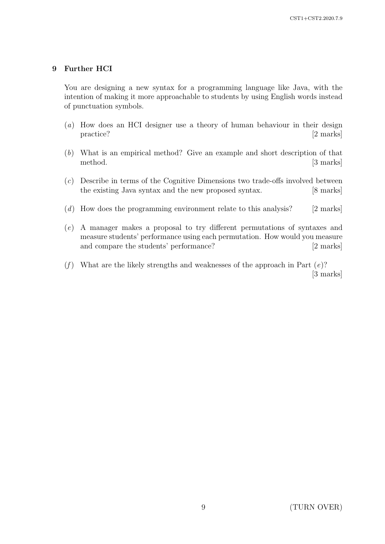# 9 Further HCI

You are designing a new syntax for a programming language like Java, with the intention of making it more approachable to students by using English words instead of punctuation symbols.

- (a) How does an HCI designer use a theory of human behaviour in their design practice? [2 marks]
- (b) What is an empirical method? Give an example and short description of that method. [3 marks]
- (c) Describe in terms of the Cognitive Dimensions two trade-offs involved between the existing Java syntax and the new proposed syntax. [8 marks]
- $(d)$  How does the programming environment relate to this analysis? [2 marks]
- (e) A manager makes a proposal to try different permutations of syntaxes and measure students' performance using each permutation. How would you measure and compare the students' performance? [2 marks]
- (f) What are the likely strengths and weaknesses of the approach in Part  $(e)$ ? [3 marks]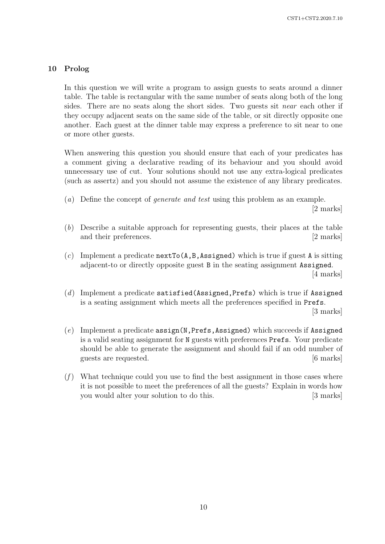# 10 Prolog

In this question we will write a program to assign guests to seats around a dinner table. The table is rectangular with the same number of seats along both of the long sides. There are no seats along the short sides. Two guests sit *near* each other if they occupy adjacent seats on the same side of the table, or sit directly opposite one another. Each guest at the dinner table may express a preference to sit near to one or more other guests.

When answering this question you should ensure that each of your predicates has a comment giving a declarative reading of its behaviour and you should avoid unnecessary use of cut. Your solutions should not use any extra-logical predicates (such as assertz) and you should not assume the existence of any library predicates.

(a) Define the concept of generate and test using this problem as an example.

[2 marks]

- (b) Describe a suitable approach for representing guests, their places at the table and their preferences. [2 marks]
- (c) Implement a predicate  $nextTo(A,B,Assigned)$  which is true if guest A is sitting adjacent-to or directly opposite guest B in the seating assignment Assigned. [4 marks]
- (d) Implement a predicate satisfied (Assigned, Prefs) which is true if Assigned is a seating assignment which meets all the preferences specified in Prefs.

[3 marks]

- (e) Implement a predicate assign(N,Prefs,Assigned) which succeeds if Assigned is a valid seating assignment for N guests with preferences Prefs. Your predicate should be able to generate the assignment and should fail if an odd number of guests are requested.  $[6 \text{ marks}]$
- $(f)$  What technique could you use to find the best assignment in those cases where it is not possible to meet the preferences of all the guests? Explain in words how you would alter your solution to do this. [3 marks]